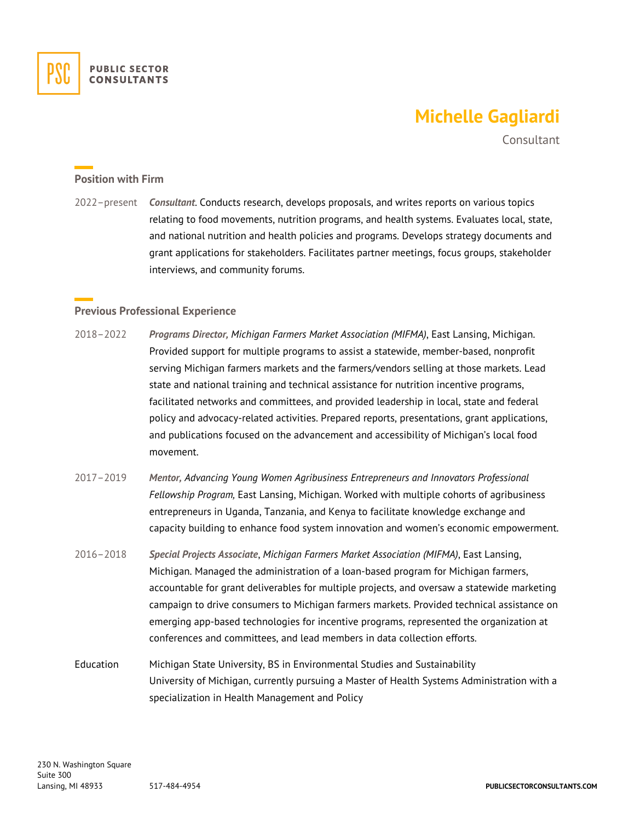

# **Michelle Gagliardi**

Consultant

### **Position with Firm**

2022–present *Consultant*. Conducts research, develops proposals, and writes reports on various topics relating to food movements, nutrition programs, and health systems. Evaluates local, state, and national nutrition and health policies and programs. Develops strategy documents and grant applications for stakeholders. Facilitates partner meetings, focus groups, stakeholder interviews, and community forums.

### **Previous Professional Experience**

- 2018–2022 *Programs Director, Michigan Farmers Market Association (MIFMA)*, East Lansing, Michigan. Provided support for multiple programs to assist a statewide, member-based, nonprofit serving Michigan farmers markets and the farmers/vendors selling at those markets. Lead state and national training and technical assistance for nutrition incentive programs, facilitated networks and committees, and provided leadership in local, state and federal policy and advocacy-related activities. Prepared reports, presentations, grant applications, and publications focused on the advancement and accessibility of Michigan's local food movement.
- 2017–2019 *Mentor, Advancing Young Women Agribusiness Entrepreneurs and Innovators Professional Fellowship Program,* East Lansing, Michigan. Worked with multiple cohorts of agribusiness entrepreneurs in Uganda, Tanzania, and Kenya to facilitate knowledge exchange and capacity building to enhance food system innovation and women's economic empowerment.
- 2016–2018 *Special Projects Associate*, *Michigan Farmers Market Association (MIFMA)*, East Lansing, Michigan. Managed the administration of a loan-based program for Michigan farmers, accountable for grant deliverables for multiple projects, and oversaw a statewide marketing campaign to drive consumers to Michigan farmers markets. Provided technical assistance on emerging app-based technologies for incentive programs, represented the organization at conferences and committees, and lead members in data collection efforts.
- Education Michigan State University, BS in Environmental Studies and Sustainability University of Michigan, currently pursuing a Master of Health Systems Administration with a specialization in Health Management and Policy